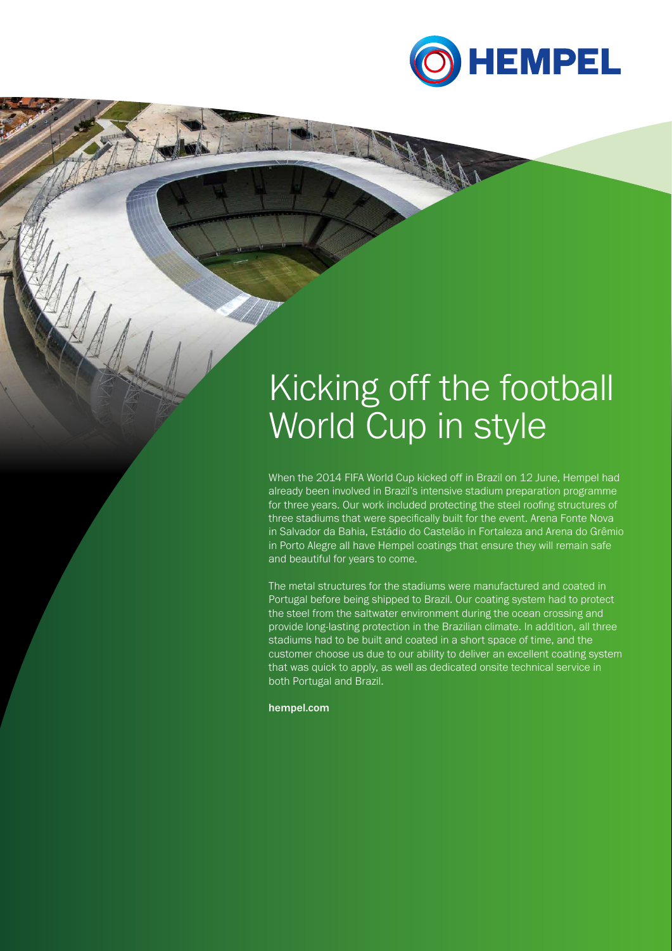

# Kicking off the football World Cup in style

When the 2014 FIFA World Cup kicked off in Brazil on 12 June, Hempel had already been involved in Brazil's intensive stadium preparation programme for three years. Our work included protecting the steel roofing structures of three stadiums that were specifically built for the event. Arena Fonte Nova in Salvador da Bahia, Estádio do Castelão in Fortaleza and Arena do Grêmio in Porto Alegre all have Hempel coatings that ensure they will remain safe and beautiful for years to come.

The metal structures for the stadiums were manufactured and coated in Portugal before being shipped to Brazil. Our coating system had to protect the steel from the saltwater environment during the ocean crossing and provide long-lasting protection in the Brazilian climate. In addition, all three stadiums had to be built and coated in a short space of time, and the customer choose us due to our ability to deliver an excellent coating system that was quick to apply, as well as dedicated onsite technical service in both Portugal and Brazil.

hempel.com